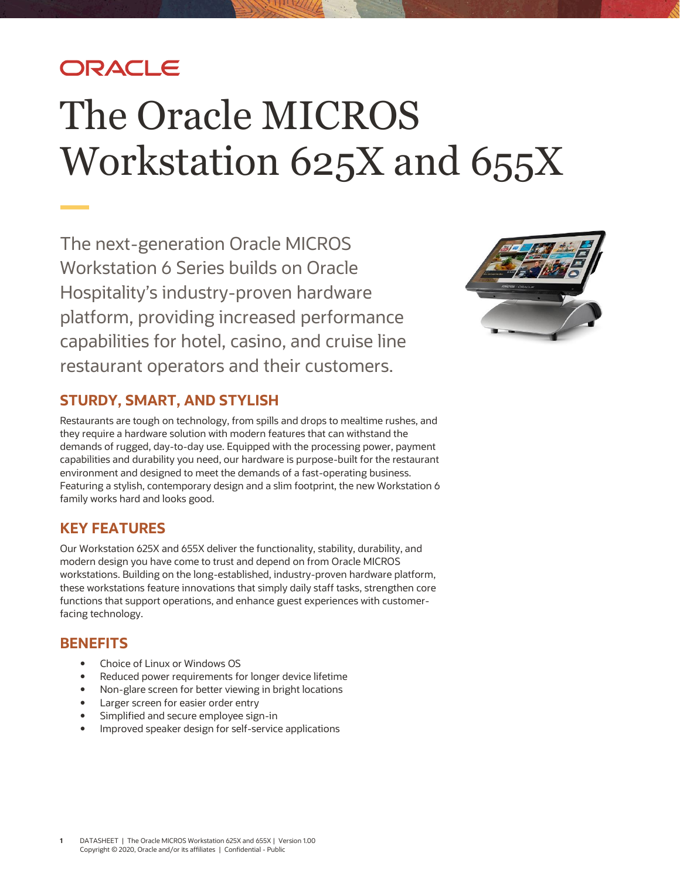# ORACLE

# The Oracle MICROS Workstation 625X and 655X

The next-generation Oracle MICROS Workstation 6 Series builds on Oracle Hospitality's industry-proven hardware platform, providing increased performance capabilities for hotel, casino, and cruise line restaurant operators and their customers.



## **STURDY, SMART, AND STYLISH**

Restaurants are tough on technology, from spills and drops to mealtime rushes, and they require a hardware solution with modern features that can withstand the demands of rugged, day-to-day use. Equipped with the processing power, payment capabilities and durability you need, our hardware is purpose-built for the restaurant environment and designed to meet the demands of a fast-operating business. Featuring a stylish, contemporary design and a slim footprint, the new Workstation 6 family works hard and looks good.

### **KEY FEATURES**

Our Workstation 625X and 655X deliver the functionality, stability, durability, and modern design you have come to trust and depend on from Oracle MICROS workstations. Building on the long-established, industry-proven hardware platform, these workstations feature innovations that simply daily staff tasks, strengthen core functions that support operations, and enhance guest experiences with customerfacing technology.

### **BENEFITS**

- Choice of Linux or Windows OS
- Reduced power requirements for longer device lifetime
- Non-glare screen for better viewing in bright locations
- Larger screen for easier order entry
- Simplified and secure employee sign-in
- Improved speaker design for self-service applications